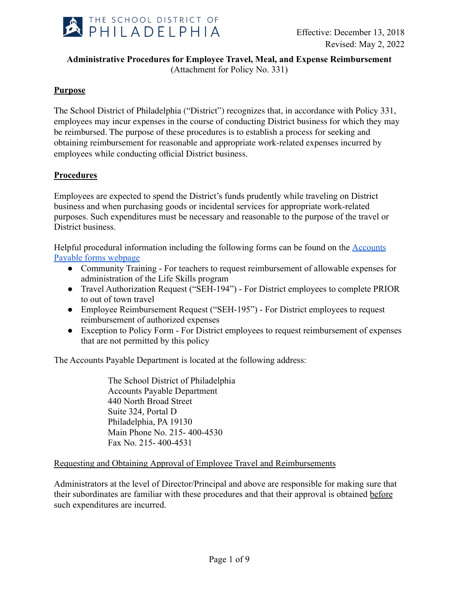

## **Administrative Procedures for Employee Travel, Meal, and Expense Reimbursement** (Attachment for Policy No. 331)

## **Purpose**

The School District of Philadelphia ("District") recognizes that, in accordance with Policy 331, employees may incur expenses in the course of conducting District business for which they may be reimbursed. The purpose of these procedures is to establish a process for seeking and obtaining reimbursement for reasonable and appropriate work-related expenses incurred by employees while conducting official District business.

### **Procedures**

Employees are expected to spend the District's funds prudently while traveling on District business and when purchasing goods or incidental services for appropriate work-related purposes. Such expenditures must be necessary and reasonable to the purpose of the travel or District business.

Helpful procedural information including the following forms can be found on the [Accounts](https://www.philasd.org/accountspayable/forms/) [Payable forms webpage](https://www.philasd.org/accountspayable/forms/)

- Community Training For teachers to request reimbursement of allowable expenses for administration of the Life Skills program
- Travel Authorization Request ("SEH-194") For District employees to complete PRIOR to out of town travel
- Employee Reimbursement Request ("SEH-195") For District employees to request reimbursement of authorized expenses
- Exception to Policy Form For District employees to request reimbursement of expenses that are not permitted by this policy

The Accounts Payable Department is located at the following address:

The School District of Philadelphia Accounts Payable Department 440 North Broad Street Suite 324, Portal D Philadelphia, PA 19130 Main Phone No. 215- 400-4530 Fax No. 215- 400-4531

#### Requesting and Obtaining Approval of Employee Travel and Reimbursements

Administrators at the level of Director/Principal and above are responsible for making sure that their subordinates are familiar with these procedures and that their approval is obtained before such expenditures are incurred.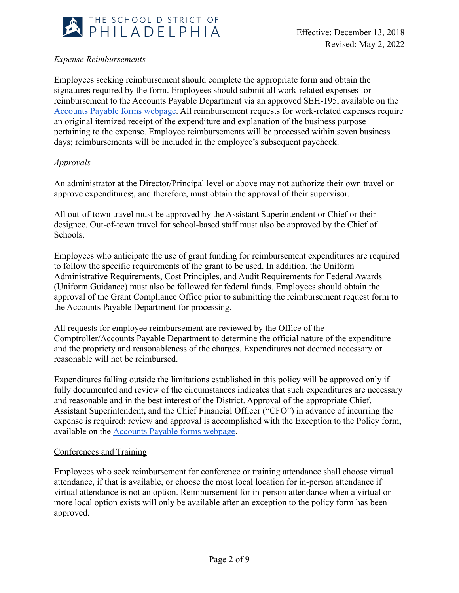

# *Expense Reimbursements*

Employees seeking reimbursement should complete the appropriate form and obtain the signatures required by the form. Employees should submit all work-related expenses for reimbursement to the Accounts Payable Department via an approved SEH-195, available on the [Accounts Payable forms webpage.](https://www.philasd.org/accountspayable/forms/) All reimbursement requests for work-related expenses require an original itemized receipt of the expenditure and explanation of the business purpose pertaining to the expense. Employee reimbursements will be processed within seven business days; reimbursements will be included in the employee's subsequent paycheck.

# *Approvals*

An administrator at the Director/Principal level or above may not authorize their own travel or approve expenditures;, and therefore, must obtain the approval of their supervisor.

All out-of-town travel must be approved by the Assistant Superintendent or Chief or their designee. Out-of-town travel for school-based staff must also be approved by the Chief of Schools.

Employees who anticipate the use of grant funding for reimbursement expenditures are required to follow the specific requirements of the grant to be used. In addition, the Uniform Administrative Requirements, Cost Principles, and Audit Requirements for Federal Awards (Uniform Guidance) must also be followed for federal funds. Employees should obtain the approval of the Grant Compliance Office prior to submitting the reimbursement request form to the Accounts Payable Department for processing.

All requests for employee reimbursement are reviewed by the Office of the Comptroller/Accounts Payable Department to determine the official nature of the expenditure and the propriety and reasonableness of the charges. Expenditures not deemed necessary or reasonable will not be reimbursed.

Expenditures falling outside the limitations established in this policy will be approved only if fully documented and review of the circumstances indicates that such expenditures are necessary and reasonable and in the best interest of the District. Approval of the appropriate Chief, Assistant Superintendent**,** and the Chief Financial Officer ("CFO") in advance of incurring the expense is required; review and approval is accomplished with the Exception to the Policy form, available on the [Accounts Payable forms webpage.](https://www.philasd.org/accountspayable/forms/)

#### Conferences and Training

Employees who seek reimbursement for conference or training attendance shall choose virtual attendance, if that is available, or choose the most local location for in-person attendance if virtual attendance is not an option. Reimbursement for in-person attendance when a virtual or more local option exists will only be available after an exception to the policy form has been approved.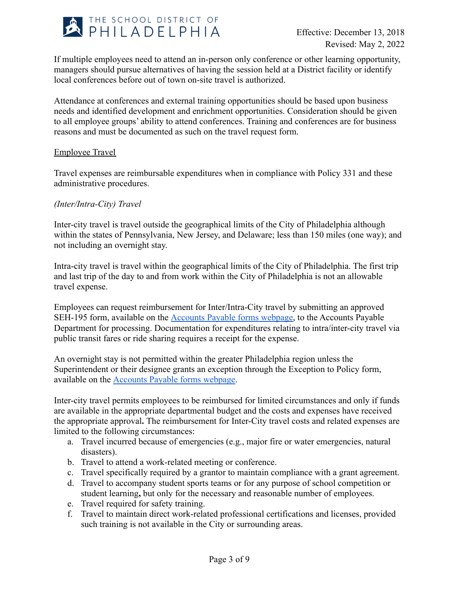

If multiple employees need to attend an in-person only conference or other learning opportunity, managers should pursue alternatives of having the session held at a District facility or identify local conferences before out of town on-site travel is authorized.

Attendance at conferences and external training opportunities should be based upon business needs and identified development and enrichment opportunities. Consideration should be given to all employee groups' ability to attend conferences. Training and conferences are for business reasons and must be documented as such on the travel request form.

#### Employee Travel

Travel expenses are reimbursable expenditures when in compliance with Policy 331 and these administrative procedures.

# *(Inter/Intra-City) Travel*

Inter-city travel is travel outside the geographical limits of the City of Philadelphia although within the states of Pennsylvania, New Jersey, and Delaware; less than 150 miles (one way); and not including an overnight stay.

Intra-city travel is travel within the geographical limits of the City of Philadelphia. The first trip and last trip of the day to and from work within the City of Philadelphia is not an allowable travel expense.

Employees can request reimbursement for Inter/Intra-City travel by submitting an approved SEH-195 form, available on the [Accounts Payable forms](https://www.philasd.org/accountspayable/forms/) webpage, to the Accounts Payable Department for processing. Documentation for expenditures relating to intra/inter-city travel via public transit fares or ride sharing requires a receipt for the expense.

An overnight stay is not permitted within the greater Philadelphia region unless the Superintendent or their designee grants an exception through the Exception to Policy form, available on the [Accounts Payable forms webpage.](https://www.philasd.org/accountspayable/forms/)

Inter-city travel permits employees to be reimbursed for limited circumstances and only if funds are available in the appropriate departmental budget and the costs and expenses have received the appropriate approval**.** The reimbursement for Inter-City travel costs and related expenses are limited to the following circumstances:

- a. Travel incurred because of emergencies (e.g., major fire or water emergencies, natural disasters).
- b. Travel to attend a work-related meeting or conference.
- c. Travel specifically required by a grantor to maintain compliance with a grant agreement.
- d. Travel to accompany student sports teams or for any purpose of school competition or student learning**,** but only for the necessary and reasonable number of employees.
- e. Travel required for safety training.
- f. Travel to maintain direct work-related professional certifications and licenses, provided such training is not available in the City or surrounding areas.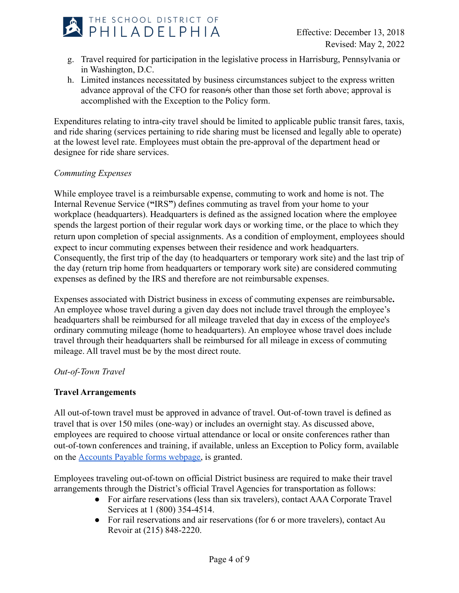

- g. Travel required for participation in the legislative process in Harrisburg, Pennsylvania or in Washington, D.C.
- h. Limited instances necessitated by business circumstances subject to the express written advance approval of the CFO for reason's other than those set forth above; approval is accomplished with the Exception to the Policy form.

Expenditures relating to intra-city travel should be limited to applicable public transit fares, taxis, and ride sharing (services pertaining to ride sharing must be licensed and legally able to operate) at the lowest level rate. Employees must obtain the pre-approval of the department head or designee for ride share services.

# *Commuting Expenses*

While employee travel is a reimbursable expense, commuting to work and home is not. The Internal Revenue Service (**"**IRS**"**) defines commuting as travel from your home to your workplace (headquarters). Headquarters is defined as the assigned location where the employee spends the largest portion of their regular work days or working time, or the place to which they return upon completion of special assignments. As a condition of employment, employees should expect to incur commuting expenses between their residence and work headquarters. Consequently, the first trip of the day (to headquarters or temporary work site) and the last trip of the day (return trip home from headquarters or temporary work site) are considered commuting expenses as defined by the IRS and therefore are not reimbursable expenses.

Expenses associated with District business in excess of commuting expenses are reimbursable**.** An employee whose travel during a given day does not include travel through the employee's headquarters shall be reimbursed for all mileage traveled that day in excess of the employee's ordinary commuting mileage (home to headquarters). An employee whose travel does include travel through their headquarters shall be reimbursed for all mileage in excess of commuting mileage. All travel must be by the most direct route.

# *Out-of-Town Travel*

# **Travel Arrangements**

All out-of-town travel must be approved in advance of travel. Out-of-town travel is defined as travel that is over 150 miles (one-way) or includes an overnight stay. As discussed above, employees are required to choose virtual attendance or local or onsite conferences rather than out-of-town conferences and training, if available, unless an Exception to Policy form, available on the [Accounts Payable forms webpage](https://www.philasd.org/accountspayable/forms/), is granted.

Employees traveling out-of-town on official District business are required to make their travel arrangements through the District's official Travel Agencies for transportation as follows:

- For airfare reservations (less than six travelers), contact AAA Corporate Travel Services at 1 (800) 354-4514.
- For rail reservations and air reservations (for 6 or more travelers), contact Au Revoir at (215) 848-2220.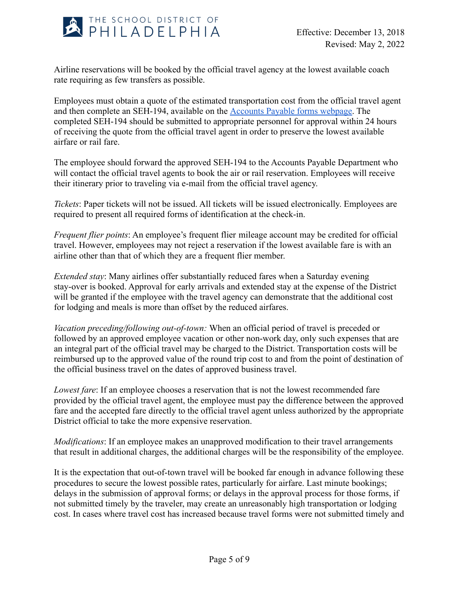

Airline reservations will be booked by the official travel agency at the lowest available coach rate requiring as few transfers as possible.

Employees must obtain a quote of the estimated transportation cost from the official travel agent and then complete an SEH-194, available on the Accounts [Payable forms webpage.](https://www.philasd.org/accountspayable/forms/) The completed SEH-194 should be submitted to appropriate personnel for approval within 24 hours of receiving the quote from the official travel agent in order to preserve the lowest available airfare or rail fare.

The employee should forward the approved SEH-194 to the Accounts Payable Department who will contact the official travel agents to book the air or rail reservation. Employees will receive their itinerary prior to traveling via e-mail from the official travel agency.

*Tickets*: Paper tickets will not be issued. All tickets will be issued electronically. Employees are required to present all required forms of identification at the check-in.

*Frequent flier points*: An employee's frequent flier mileage account may be credited for official travel. However, employees may not reject a reservation if the lowest available fare is with an airline other than that of which they are a frequent flier member.

*Extended stay*: Many airlines offer substantially reduced fares when a Saturday evening stay-over is booked. Approval for early arrivals and extended stay at the expense of the District will be granted if the employee with the travel agency can demonstrate that the additional cost for lodging and meals is more than offset by the reduced airfares.

*Vacation preceding/following out-of-town:* When an official period of travel is preceded or followed by an approved employee vacation or other non-work day, only such expenses that are an integral part of the official travel may be charged to the District. Transportation costs will be reimbursed up to the approved value of the round trip cost to and from the point of destination of the official business travel on the dates of approved business travel.

*Lowest fare*: If an employee chooses a reservation that is not the lowest recommended fare provided by the official travel agent, the employee must pay the difference between the approved fare and the accepted fare directly to the official travel agent unless authorized by the appropriate District official to take the more expensive reservation.

*Modifications*: If an employee makes an unapproved modification to their travel arrangements that result in additional charges, the additional charges will be the responsibility of the employee.

It is the expectation that out-of-town travel will be booked far enough in advance following these procedures to secure the lowest possible rates, particularly for airfare. Last minute bookings; delays in the submission of approval forms; or delays in the approval process for those forms, if not submitted timely by the traveler, may create an unreasonably high transportation or lodging cost. In cases where travel cost has increased because travel forms were not submitted timely and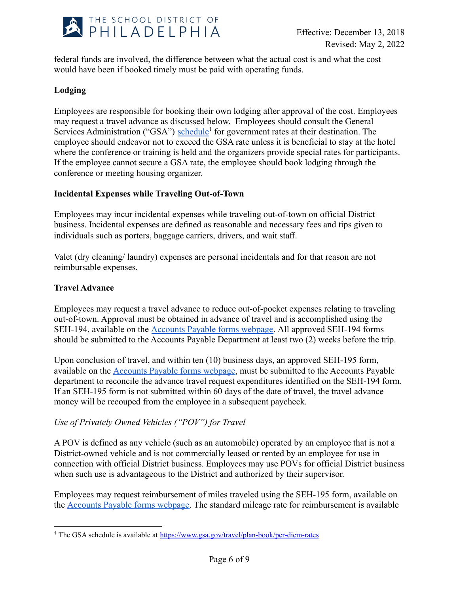

federal funds are involved, the difference between what the actual cost is and what the cost would have been if booked timely must be paid with operating funds.

## **Lodging**

Employees are responsible for booking their own lodging after approval of the cost. Employees may request a travel advance as discussed below. Employees should consult the General Services Administration ("GSA") [schedule](https://www.gsa.gov/travel/plan-book/per-diem-rates)<sup>1</sup> for government rates at their destination. The employee should endeavor not to exceed the GSA rate unless it is beneficial to stay at the hotel where the conference or training is held and the organizers provide special rates for participants. If the employee cannot secure a GSA rate, the employee should book lodging through the conference or meeting housing organizer.

### **Incidental Expenses while Traveling Out-of-Town**

Employees may incur incidental expenses while traveling out-of-town on official District business. Incidental expenses are defined as reasonable and necessary fees and tips given to individuals such as porters, baggage carriers, drivers, and wait staff.

Valet (dry cleaning/ laundry) expenses are personal incidentals and for that reason are not reimbursable expenses.

#### **Travel Advance**

Employees may request a travel advance to reduce out-of-pocket expenses relating to traveling out-of-town. Approval must be obtained in advance of travel and is accomplished using the SEH-194, available on the [Accounts Payable forms webpage.](https://www.philasd.org/accountspayable/forms/) All approved SEH-194 forms should be submitted to the Accounts Payable Department at least two (2) weeks before the trip.

Upon conclusion of travel, and within ten (10) business days, an approved SEH-195 form, available on the [Accounts Payable forms webpage,](https://www.philasd.org/accountspayable/forms/) must be submitted to the Accounts Payable department to reconcile the advance travel request expenditures identified on the SEH-194 form. If an SEH-195 form is not submitted within 60 days of the date of travel, the travel advance money will be recouped from the employee in a subsequent paycheck.

#### *Use of Privately Owned Vehicles ("POV") for Travel*

A POV is defined as any vehicle (such as an automobile) operated by an employee that is not a District-owned vehicle and is not commercially leased or rented by an employee for use in connection with official District business. Employees may use POVs for official District business when such use is advantageous to the District and authorized by their supervisor.

Employees may request reimbursement of miles traveled using the SEH-195 form, available on the [Accounts Payable forms webpage.](https://www.philasd.org/accountspayable/forms/) The standard mileage rate for reimbursement is available

<sup>&</sup>lt;sup>1</sup> The GSA schedule is available at https://www.gsa.gov/travel/plan-book/per-diem-rates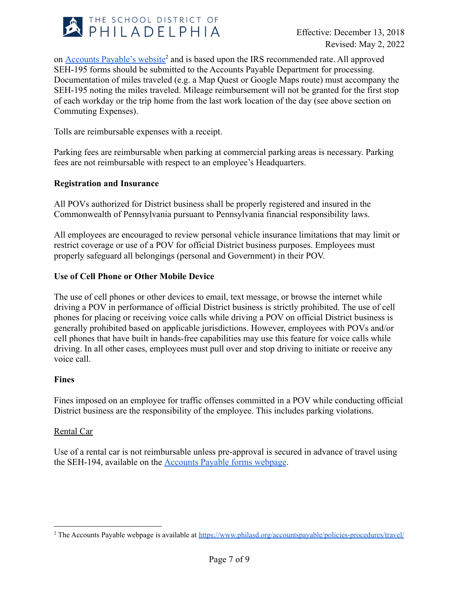

on **[Accounts Payable's website](https://www.philasd.org/accountspayable/policies-procedures/travel/)<sup>2</sup>** and is based upon the IRS recommended rate. All approved SEH-195 forms should be submitted to the Accounts Payable Department for processing. Documentation of miles traveled (e.g. a Map Quest or Google Maps route) must accompany the SEH-195 noting the miles traveled. Mileage reimbursement will not be granted for the first stop of each workday or the trip home from the last work location of the day (see above section on Commuting Expenses).

Tolls are reimbursable expenses with a receipt.

Parking fees are reimbursable when parking at commercial parking areas is necessary. Parking fees are not reimbursable with respect to an employee's Headquarters.

#### **Registration and Insurance**

All POVs authorized for District business shall be properly registered and insured in the Commonwealth of Pennsylvania pursuant to Pennsylvania financial responsibility laws.

All employees are encouraged to review personal vehicle insurance limitations that may limit or restrict coverage or use of a POV for official District business purposes. Employees must properly safeguard all belongings (personal and Government) in their POV.

#### **Use of Cell Phone or Other Mobile Device**

The use of cell phones or other devices to email, text message, or browse the internet while driving a POV in performance of official District business is strictly prohibited. The use of cell phones for placing or receiving voice calls while driving a POV on official District business is generally prohibited based on applicable jurisdictions. However, employees with POVs and/or cell phones that have built in hands-free capabilities may use this feature for voice calls while driving. In all other cases, employees must pull over and stop driving to initiate or receive any voice call.

#### **Fines**

Fines imposed on an employee for traffic offenses committed in a POV while conducting official District business are the responsibility of the employee. This includes parking violations.

#### Rental Car

Use of a rental car is not reimbursable unless pre-approval is secured in advance of travel using the SEH-194, available on the [Accounts Payable forms](https://www.philasd.org/accountspayable/forms/) webpage.

<sup>&</sup>lt;sup>2</sup> The Accounts Payable webpage is available at <https://www.philasd.org/accountspayable/policies-procedures/travel/>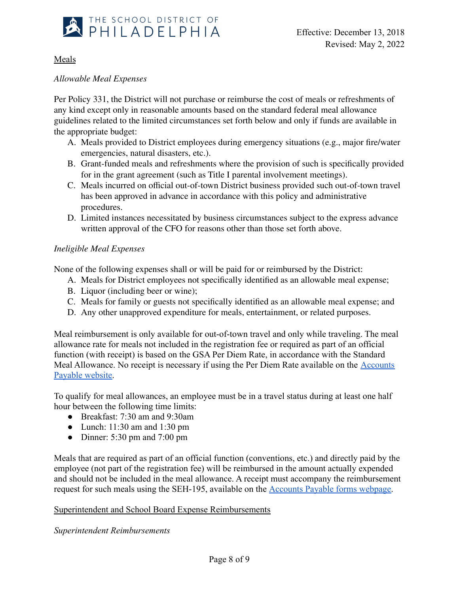

## Meals

### *Allowable Meal Expenses*

Per Policy 331, the District will not purchase or reimburse the cost of meals or refreshments of any kind except only in reasonable amounts based on the standard federal meal allowance guidelines related to the limited circumstances set forth below and only if funds are available in the appropriate budget:

- A. Meals provided to District employees during emergency situations (e.g., major fire/water emergencies, natural disasters, etc.).
- B. Grant-funded meals and refreshments where the provision of such is specifically provided for in the grant agreement (such as Title I parental involvement meetings).
- C. Meals incurred on official out-of-town District business provided such out-of-town travel has been approved in advance in accordance with this policy and administrative procedures.
- D. Limited instances necessitated by business circumstances subject to the express advance written approval of the CFO for reasons other than those set forth above.

### *Ineligible Meal Expenses*

None of the following expenses shall or will be paid for or reimbursed by the District:

- A. Meals for District employees not specifically identified as an allowable meal expense;
- B. Liquor (including beer or wine);
- C. Meals for family or guests not specifically identified as an allowable meal expense; and
- D. Any other unapproved expenditure for meals, entertainment, or related purposes.

Meal reimbursement is only available for out-of-town travel and only while traveling. The meal allowance rate for meals not included in the registration fee or required as part of an official function (with receipt) is based on the GSA Per Diem Rate, in accordance with the Standard Meal Allowance. No receipt is necessary if using the Per Diem Rate available on the **[Accounts](https://www.philasd.org/accountspayable/policies-procedures/travel/)** [Payable website.](https://www.philasd.org/accountspayable/policies-procedures/travel/)

To qualify for meal allowances, an employee must be in a travel status during at least one half hour between the following time limits:

- Breakfast: 7:30 am and 9:30am
- Lunch:  $11:30$  am and  $1:30$  pm
- Dinner:  $5:30 \text{ pm}$  and  $7:00 \text{ pm}$

Meals that are required as part of an official function (conventions, etc.) and directly paid by the employee (not part of the registration fee) will be reimbursed in the amount actually expended and should not be included in the meal allowance. A receipt must accompany the reimbursement request for such meals using the SEH-195, available on the [Accounts Payable forms webpage.](https://www.philasd.org/accountspayable/forms/)

#### Superintendent and School Board Expense Reimbursements

*Superintendent Reimbursements*